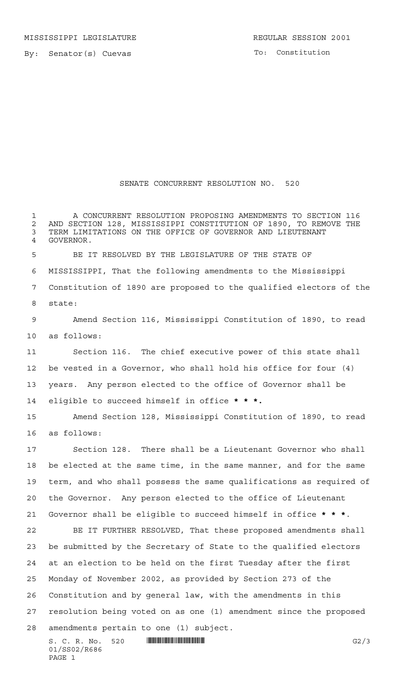By: Senator(s) Cuevas

PAGE 1

## SENATE CONCURRENT RESOLUTION NO. 520

S. C. R. No. 520 \*SS02/R686\* G2/3 01/SS02/R686 A CONCURRENT RESOLUTION PROPOSING AMENDMENTS TO SECTION 116 2 AND SECTION 128, MISSISSIPPI CONSTITUTION OF 1890, TO REMOVE THE 3 TERM LIMITATIONS ON THE OFFICE OF GOVERNOR AND LIEUTENANT TERM LIMITATIONS ON THE OFFICE OF GOVERNOR AND LIEUTENANT GOVERNOR. BE IT RESOLVED BY THE LEGISLATURE OF THE STATE OF MISSISSIPPI, That the following amendments to the Mississippi Constitution of 1890 are proposed to the qualified electors of the state: Amend Section 116, Mississippi Constitution of 1890, to read as follows: Section 116. The chief executive power of this state shall be vested in a Governor, who shall hold his office for four (4) years. Any person elected to the office of Governor shall be eligible to succeed himself in office **\* \* \*.** Amend Section 128, Mississippi Constitution of 1890, to read as follows: Section 128. There shall be a Lieutenant Governor who shall be elected at the same time, in the same manner, and for the same term, and who shall possess the same qualifications as required of the Governor. Any person elected to the office of Lieutenant Governor shall be eligible to succeed himself in office **\*\*\***. BE IT FURTHER RESOLVED, That these proposed amendments shall be submitted by the Secretary of State to the qualified electors at an election to be held on the first Tuesday after the first Monday of November 2002, as provided by Section 273 of the Constitution and by general law, with the amendments in this resolution being voted on as one (1) amendment since the proposed amendments pertain to one (1) subject.